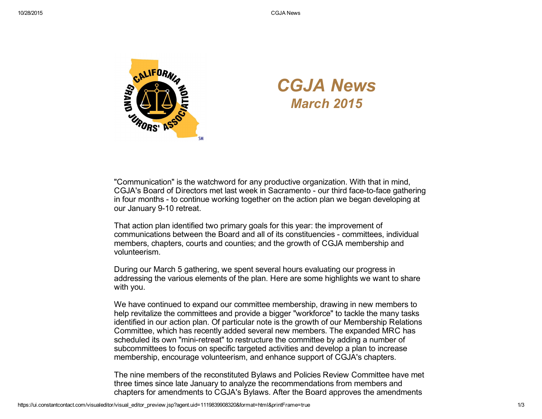

## *CGJA News March 2015*

"Communication" is the watchword for any productive organization. With that in mind, CGJA's Board of Directors met last week in Sacramento - our third face-to-face gathering in four months - to continue working together on the action plan we began developing at our January 9-10 retreat.

That action plan identified two primary goals for this year: the improvement of communications between the Board and all of its constituencies committees, individual members, chapters, courts and counties; and the growth of CGJA membership and volunteerism.

During our March 5 gathering, we spent several hours evaluating our progress in addressing the various elements of the plan. Here are some highlights we want to share with you.

We have continued to expand our committee membership, drawing in new members to help revitalize the committees and provide a bigger "workforce" to tackle the many tasks identified in our action plan. Of particular note is the growth of our Membership Relations Committee, which has recently added several new members. The expanded MRC has scheduled its own "mini-retreat" to restructure the committee by adding a number of subcommittees to focus on specific targeted activities and develop a plan to increase membership, encourage volunteerism, and enhance support of CGJA's chapters.

The nine members of the reconstituted Bylaws and Policies Review Committee have met three times since late January to analyze the recommendations from members and chapters for amendments to CGJA's Bylaws. After the Board approves the amendments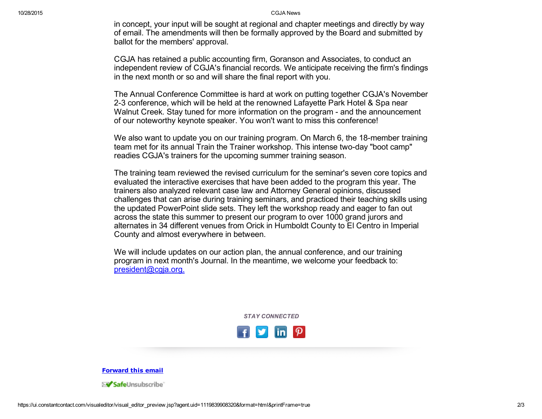10/28/2015 CGJA News

in concept, your input will be sought at regional and chapter meetings and directly by way of email. The amendments will then be formally approved by the Board and submitted by ballot for the members' approval.

CGJA has retained a public accounting firm, Goranson and Associates, to conduct an independent review of CGJA's financial records. We anticipate receiving the firm's findings in the next month or so and will share the final report with you.

The Annual Conference Committee is hard at work on putting together CGJA's November 23 conference, which will be held at the renowned Lafayette Park Hotel & Spa near Walnut Creek. Stay tuned for more information on the program - and the announcement of our noteworthy keynote speaker. You won't want to miss this conference!

We also want to update you on our training program. On March 6, the 18-member training team met for its annual Train the Trainer workshop. This intense two-day "boot camp" readies CGJA's trainers for the upcoming summer training season.

The training team reviewed the revised curriculum for the seminar's seven core topics and evaluated the interactive exercises that have been added to the program this year. The trainers also analyzed relevant case law and Attorney General opinions, discussed challenges that can arise during training seminars, and practiced their teaching skills using the updated PowerPoint slide sets. They left the workshop ready and eager to fan out across the state this summer to present our program to over 1000 grand jurors and alternates in 34 different venues from Orick in Humboldt County to El Centro in Imperial County and almost everywhere in between.

We will include updates on our action plan, the annual conference, and our training program in next month's Journal. In the meantime, we welcome your feedback to: [president@cgja.org.](mailto:president@cgja.org)

*STAY CONNECTED*



[Forward](http://ui.constantcontact.com/sa/fwtf.jsp?llr=kv9vjfnab&m=1113648196266&ea=cgjaprguy@roadrunner.com&a=1119839908320&id=preview) this email

≻<mark>√ Safe</mark>Unsubscribe`